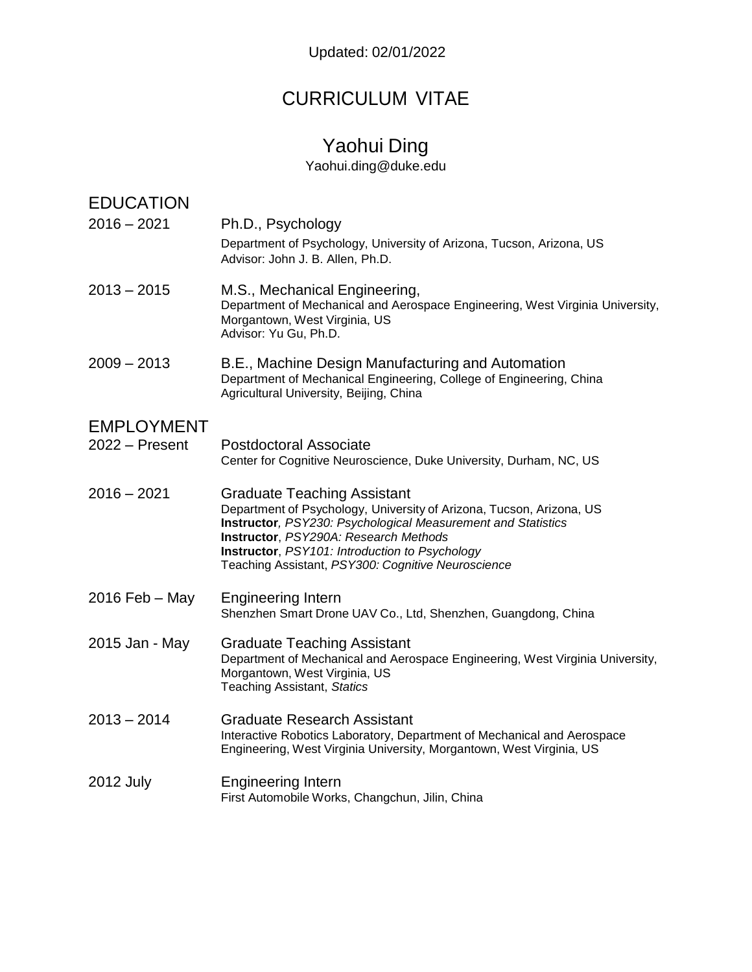# CURRICULUM VITAE

# Yaohui Ding

[Yaohui.ding@duke.edu](mailto:Yaohui.ding@duke.edu)

| <b>EDUCATION</b>  |                                                                                                                                                                                                                                                                                                                             |
|-------------------|-----------------------------------------------------------------------------------------------------------------------------------------------------------------------------------------------------------------------------------------------------------------------------------------------------------------------------|
| $2016 - 2021$     | Ph.D., Psychology<br>Department of Psychology, University of Arizona, Tucson, Arizona, US<br>Advisor: John J. B. Allen, Ph.D.                                                                                                                                                                                               |
| $2013 - 2015$     | M.S., Mechanical Engineering,<br>Department of Mechanical and Aerospace Engineering, West Virginia University,<br>Morgantown, West Virginia, US<br>Advisor: Yu Gu, Ph.D.                                                                                                                                                    |
| $2009 - 2013$     | B.E., Machine Design Manufacturing and Automation<br>Department of Mechanical Engineering, College of Engineering, China<br>Agricultural University, Beijing, China                                                                                                                                                         |
| <b>EMPLOYMENT</b> |                                                                                                                                                                                                                                                                                                                             |
| $2022 -$ Present  | Postdoctoral Associate<br>Center for Cognitive Neuroscience, Duke University, Durham, NC, US                                                                                                                                                                                                                                |
| $2016 - 2021$     | <b>Graduate Teaching Assistant</b><br>Department of Psychology, University of Arizona, Tucson, Arizona, US<br>Instructor, PSY230: Psychological Measurement and Statistics<br>Instructor, PSY290A: Research Methods<br>Instructor, PSY101: Introduction to Psychology<br>Teaching Assistant, PSY300: Cognitive Neuroscience |
| $2016$ Feb – May  | <b>Engineering Intern</b><br>Shenzhen Smart Drone UAV Co., Ltd, Shenzhen, Guangdong, China                                                                                                                                                                                                                                  |
| 2015 Jan - May    | <b>Graduate Teaching Assistant</b><br>Department of Mechanical and Aerospace Engineering, West Virginia University,<br>Morgantown, West Virginia, US<br>Teaching Assistant, Statics                                                                                                                                         |
| $2013 - 2014$     | <b>Graduate Research Assistant</b><br>Interactive Robotics Laboratory, Department of Mechanical and Aerospace<br>Engineering, West Virginia University, Morgantown, West Virginia, US                                                                                                                                       |
| <b>2012 July</b>  | <b>Engineering Intern</b><br>First Automobile Works, Changchun, Jilin, China                                                                                                                                                                                                                                                |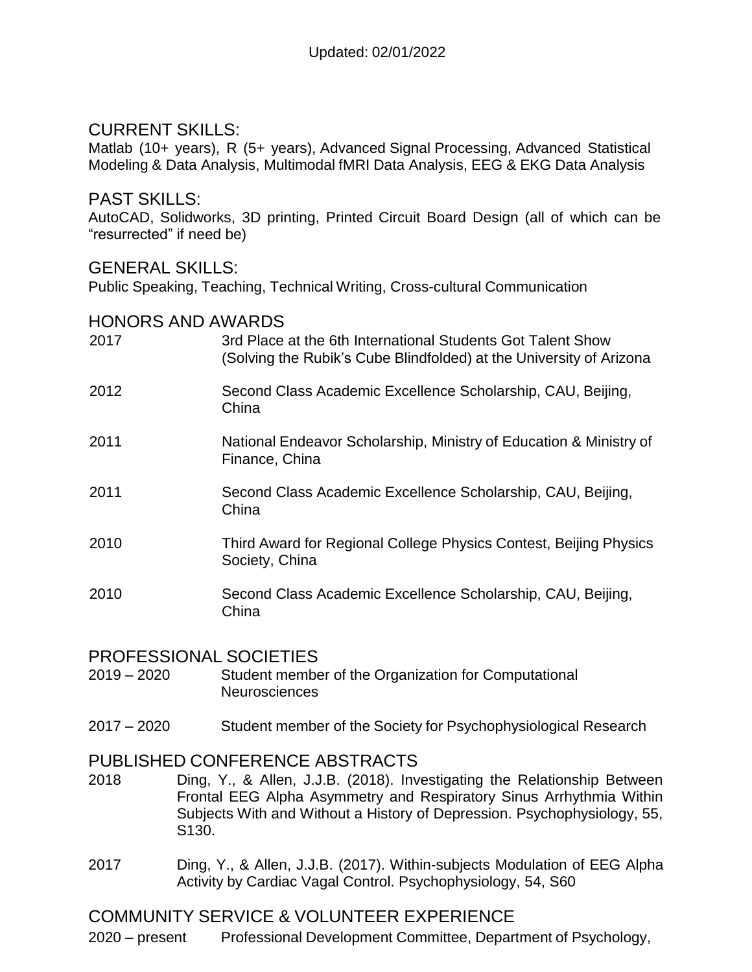## CURRENT SKILLS:

Matlab (10+ years), R (5+ years), Advanced Signal Processing, Advanced Statistical Modeling & Data Analysis, Multimodal fMRI Data Analysis, EEG & EKG Data Analysis

#### PAST SKILLS:

AutoCAD, Solidworks, 3D printing, Printed Circuit Board Design (all of which can be "resurrected" if need be)

#### GENERAL SKILLS:

Public Speaking, Teaching, Technical Writing, Cross-cultural Communication

#### HONORS AND AWARDS

| 3rd Place at the 6th International Students Got Talent Show<br>(Solving the Rubik's Cube Blindfolded) at the University of Arizona |
|------------------------------------------------------------------------------------------------------------------------------------|
| Second Class Academic Excellence Scholarship, CAU, Beijing,<br>China                                                               |
| National Endeavor Scholarship, Ministry of Education & Ministry of<br>Finance, China                                               |
| Second Class Academic Excellence Scholarship, CAU, Beijing,<br>China                                                               |
| Third Award for Regional College Physics Contest, Beijing Physics<br>Society, China                                                |
| Second Class Academic Excellence Scholarship, CAU, Beijing,<br>China                                                               |
|                                                                                                                                    |

#### PROFESSIONAL SOCIETIES

- 2019 2020 Student member of the Organization for Computational Neurosciences
- 2017 2020 Student member of the Society for Psychophysiological Research

### PUBLISHED CONFERENCE ABSTRACTS

- 2018 Ding, Y., & Allen, J.J.B. (2018). Investigating the Relationship Between Frontal EEG Alpha Asymmetry and Respiratory Sinus Arrhythmia Within Subjects With and Without a History of Depression. Psychophysiology, 55, S130.
- 2017 Ding, Y., & Allen, J.J.B. (2017). Within-subjects Modulation of EEG Alpha Activity by Cardiac Vagal Control. Psychophysiology, 54, S60

## COMMUNITY SERVICE & VOLUNTEER EXPERIENCE

2020 – present Professional Development Committee, Department of Psychology,